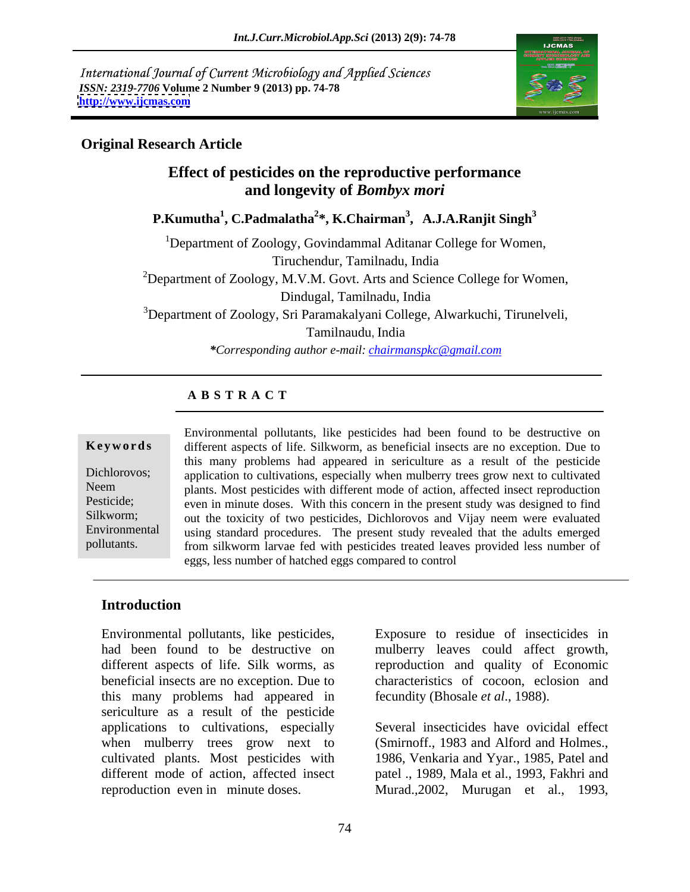International Journal of Current Microbiology and Applied Sciences *ISSN: 2319-7706* **Volume 2 Number 9 (2013) pp. 74-78 <http://www.ijcmas.com>**



### **Original Research Article**

## **Effect of pesticides on the reproductive performance and longevity of** *Bombyx mori*

**P.Kumutha<sup>1</sup> , C.Padmalatha<sup>2</sup> \*, K.Chairman<sup>3</sup> , A.J.A.Ranjit Singh<sup>3</sup>**

<sup>1</sup>Department of Zoology, Govindammal Aditanar College for Women, Tiruchendur, Tamilnadu, India

<sup>2</sup>Department of Zoology, M.V.M. Govt. Arts and Science College for Women, Dindugal, Tamilnadu, India

<sup>3</sup>Department of Zoology, Sri Paramakalyani College, Alwarkuchi, Tirunelveli,

Tamilnaudu, India

*\*Corresponding author e-mail: chairmanspkc@gmail.com*

#### **A B S T R A C T**

**Ke ywo rds** different aspects of life. Silkworm, as beneficial insects are no exception. Due to Dichlorovos; application to cultivations, especially when mulberry trees grow next to cultivated Neem plants. Most pesticides with different mode of action, affected insect reproduction Pesticide; even in minute doses. With this concern in the present study was designed to find Silkworm; out the toxicity of two pesticides, Dichlorovos and Vijay neem were evaluated Environmental using standard procedures. The present study revealed that the adults emerged Environmental pollutants, like pesticides had been found to be destructive on<br>different aspects of life. Silkworm, as beneficial insects are no exception. Due to<br>this many problems had appeared in sericulture as a result o this many problems had appeared in sericultureas a result of the pesticide from silkworm larvae fed with pesticides treated leaves provided less number of eggs, less number of hatched eggs compared to control

### **Introduction**

Environmental pollutants, like pesticides, Exposure to residue of insecticides in had been found to be destructive on mulberry leaves could affect growth, different aspects of life. Silk worms, as reproduction and quality of Economic beneficial insects are no exception. Due to characteristics of cocoon, eclosion and this many problems had appeared in sericulture as a result of the pesticide applications to cultivations, especially Several insecticides have ovicidal effect when mulberry trees grow next to cultivated plants. Most pesticides with 1986, Venkaria and Yyar., 1985, Patel and different mode of action, affected insect patel ., 1989, Mala et al., 1993, Fakhri and

fecundity (Bhosale *et al*., 1988).

reproduction even in minute doses. Murad.,2002, Murugan et al., 1993, (Smirnoff., 1983 and Alford and Holmes.,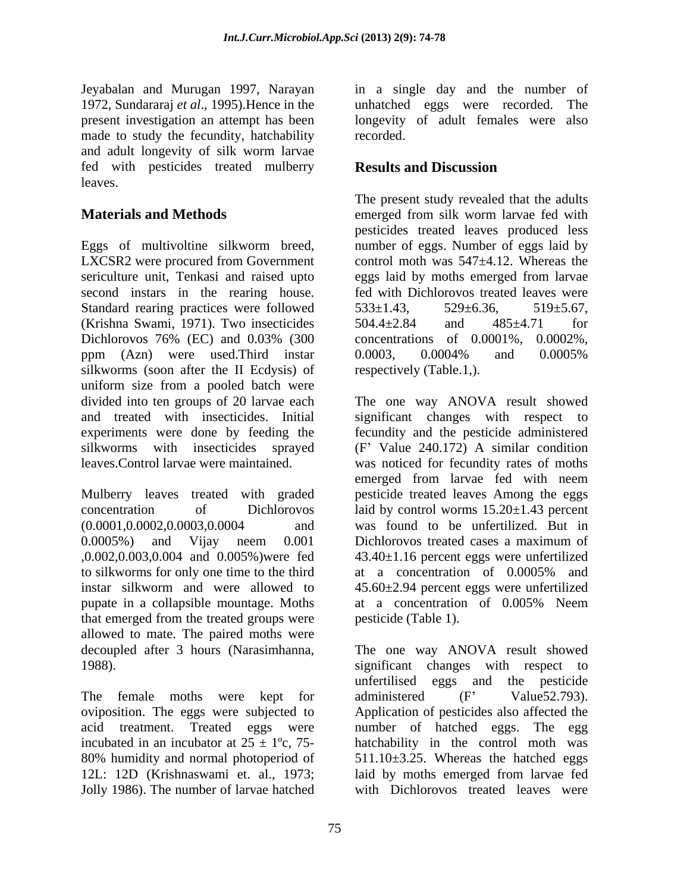Jeyabalan and Murugan 1997, Narayan in a single day and the number of 1972, Sundararaj *et al*., 1995).Hence in the unhatched eggs were recorded. The present investigation an attempt has been longevity of adult females were also made to study the fecundity, hatchability recorded. and adult longevity of silk worm larvae fed with pesticides treated mulberry **Results and Discussion** leaves.

Eggs of multivoltine silkworm breed, LXCSR2 were procured from Government control moth was  $547\pm4.12$ . Whereas the sericulture unit, Tenkasi and raised upto eggs laid by moths emerged from larvae second instars in the rearing house. fed with Dichlorovos treated leaves were Standard rearing practices were followed  $533\pm1.43$ ,  $529\pm6.36$ ,  $519\pm5.67$ , (Krishna Swami, 1971). Two insecticides  $504.4 \pm 2.84$  and  $485 \pm 4.71$  for Dichlorovos 76% (EC) and 0.03% (300 concentrations of 0.0001%, 0.0002%, ppm (Azn) were used.Third instar 0.0003, 0.0004% and 0.0005% silkworms (soon after the II Ecdysis) of uniform size from a pooled batch were experiments were done by feeding the

to silkworms for only one time to the third at a concentration of 0.0005% and pupate in a collapsible mountage. Moths that emerged from the treated groups were allowed to mate. The paired moths were

The female moths were kept for administered (F' Value 52.793). Jolly 1986). The number of larvae hatched

recorded.

## **Results and Discussion**

**Materials and Methods** emerged from silk worm larvae fed with The present study revealed that the adults pesticides treated leaves produced less number of eggs. Number of eggs laid by eggs laid by moths emerged from larvae  $533\pm1.43$ ,  $529\pm6.36$ ,  $519\pm5.67$ , 504.4±2.84 and 485±4.71 for concentrations of 0.0001%, 0.0002%, 0.0003, 0.0004% and 0.0005% respectively (Table.1,).

divided into ten groups of 20 larvae each The one way ANOVA result showed and treated with insecticides. Initial significant changes with respect to silkworms with insecticides sprayed (F Value 240.172) A similar condition leaves.Control larvae were maintained. was noticed for fecundity rates of moths Mulberry leaves treated with graded pesticide treated leaves Among the eggs concentration of Dichlorovos laid by control worms 15.20±1.43 percent (0.0001,0.0002,0.0003,0.0004 and was found to be unfertilized. But in 0.0005%) and Vijay neem 0.001 ,0.002,0.003,0.004 and 0.005%)were fed 43.40±1.16 percent eggs were unfertilized instar silkworm and were allowed to 45.60±2.94 percent eggs were unfertilized fecundity and the pesticide administered emerged from larvae fed with neem Dichlorovos treated cases a maximum of at a concentration of 0.0005% and at a concentration of 0.005% Neem pesticide (Table 1).

decoupled after 3 hours (Narasimhanna, The one way ANOVA result showed 1988). significant changes with respect to oviposition. The eggs were subjected to Application of pesticides also affected the acid treatment. Treated eggs were number of hatched eggs. The egg incubated in an incubator at  $25 \pm 1^{\circ}$ ,  $75$ - hatchability in the control moth was 80% humidity and normal photoperiod of 511.10±3.25. Whereas the hatched eggs 12L: 12D (Krishnaswami et. al., 1973; laid by moths emerged from larvae fed unfertilised eggs and the pesticide administered (F' Value52.793). with Dichlorovos treated leaves were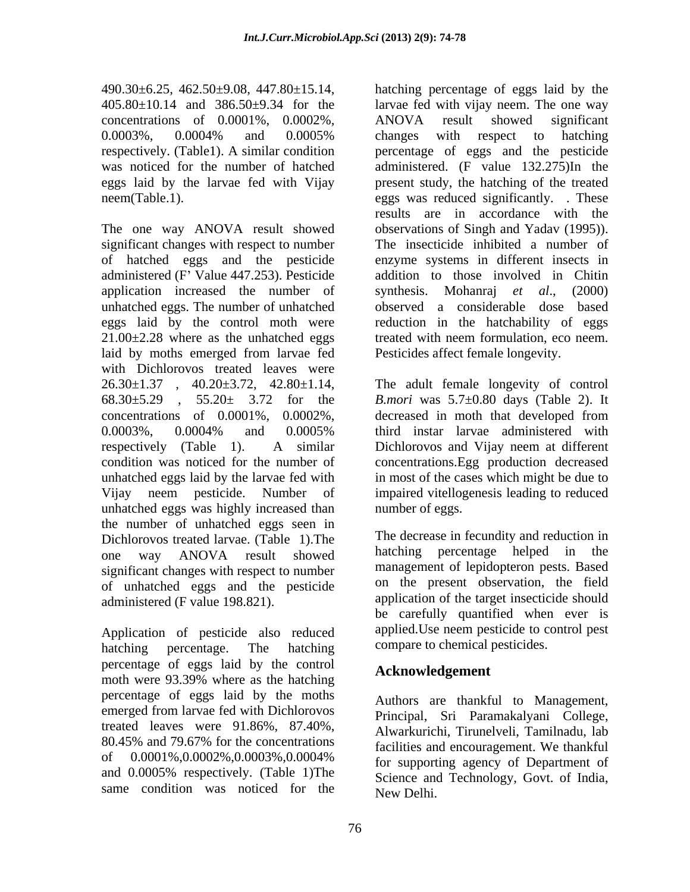concentrations of 0.0001%, 0.0002%,

The one way ANOVA result showed significant changes with respect to number The insecticide inhibited a number of of hatched eggs and the pesticide enzyme systems in different insects in administered (F Value 447.253). Pesticide addition to those involved in Chitin application increased the number of synthesis. Mohanraj et al., (2000) unhatched eggs. The number of unhatched eggs laid by the control moth were reduction in the hatchability of eggs 21.00±2.28 where as the unhatched eggs treated with neem formulation, eco neem.laid by moths emerged from larvae fed with Dichlorovos treated leaves were  $26.30\pm1.37$  ,  $40.20\pm3.72$ ,  $42.80\pm1.14$ , The adult female longevity of control 68.30 $\pm$ 5.29 , 55.20 $\pm$  3.72 for the *B.mori* was 5.7 $\pm$ 0.80 days (Table 2). It concentrations of 0.0001%, 0.0002%, 0.0003%, 0.0004% and 0.0005% respectively (Table 1). A similar Dichlorovos and Vijay neem at different condition was noticed for the number of concentrations.Egg production decreased unhatched eggs laid by the larvae fed with in most of the cases which might be due to Vijay neem pesticide. Number of impaired vitellogenesis leading to reduced unhatched eggs was highly increased than the number of unhatched eggs seen in Dichlorovos treated larvae. (Table 1). The The decrease in fecundity and reduction in  $\frac{1}{2}$  are  $\frac{1}{2}$  and  $\frac{1}{2}$  are  $\frac{1}{2}$  and  $\frac{1}{2}$  are  $\frac{1}{2}$  and  $\frac{1}{2}$  are  $\frac{1}{2}$  are  $\frac{1}{2}$  are  $\frac{1}{2}$ one way ANOVA result showed hatching percentage helped in the significant changes with respect to number of unhatched eggs and the pesticide administered (F value 198.821).

Application of pesticide also reduced hatching percentage. The hatching compare-to-chemical-pesticides. percentage of eggs laid by the control moth were 93.39% where as the hatching percentage of eggs laid by the moths emerged from larvae fed with Dichlorovos treated leaves were 91.86%, 87.40%, same condition was noticed for the

490.30±6.25, 462.50±9.08, 447.80±15.14, hatching percentage of eggs laid by the 405.80±10.14 and 386.50±9.34 for the larvae fed with vijay neem. The one way 0.0003%, 0.0004% and 0.0005% respectively. (Table1). A similar condition percentage of eggs and the pesticide was noticed for the number of hatched administered. (F value 132.275)In the eggs laid by the larvae fed with Vijay present study, the hatching of the treated neem(Table.1). eggs was reduced significantly. . These ANOVA result showed significant changes with respect to hatching results are in accordance with the observations of Singh and Yadav (1995)). synthesis. Mohanraj *et al*., (2000) observed a considerable dose based Pesticides affect female longevity.

> The adult female longevity of control *B.mori* was 5.7±0.80 days (Table 2). It decreased in moth that developed from third instar larvae administered with number of eggs.

The decrease in fecundity and reduction in hatching percentage helped in management of lepidopteron pests. Based on the present observation, the field application of the target insecticide should be carefully quantified when ever is applied.Use neem pesticide to control pest compare to chemical pesticides.

# **Acknowledgement**

 $80.45\%$  and  $79.67\%$  for the concentrations  $\frac{1}{10}$  facilities and encouragement. We thankful of  $0.0001\%, 0.0002\%, 0.0003\%, 0.0004\%$  for supporting agency of Department of and 0.0005% respectively. (Table 1)The Authors are thankful to Management, Principal, Sri Paramakalyani College, Alwarkurichi, Tirunelveli, Tamilnadu, lab facilities and encouragement. We thankful for supporting agency of Department of Science and Technology, Govt. of India, New Delhi.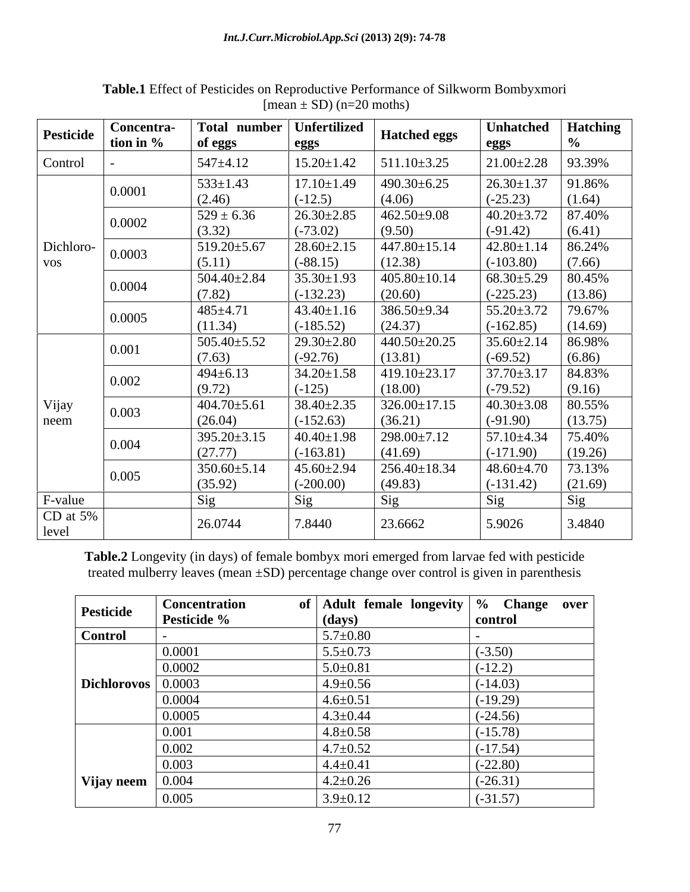| tion in %<br>Control<br>0.0001<br>0.0002<br>Dichloro-<br>0.0003<br><b>VOS</b><br>0.0004<br>0.0005<br>0.001<br>0.002<br>Vijay<br>0.003<br>neem<br>0.004<br>0.005<br>F-value<br>CD at 5% | <b>Pesticide</b> | <b>Concentra-</b> | Total number             | <b>Unfertilized</b> | <b>Hatched eggs</b> | Unhatched   Hatching                 |         |
|----------------------------------------------------------------------------------------------------------------------------------------------------------------------------------------|------------------|-------------------|--------------------------|---------------------|---------------------|--------------------------------------|---------|
|                                                                                                                                                                                        |                  |                   | of eggs                  | eggs                |                     | eggs                                 |         |
|                                                                                                                                                                                        |                  |                   | $547 \pm 4.12$           | $15.20 \pm 1.42$    | $511.10 \pm 3.25$   | $21.00 \pm 2.28$ 93.39%              |         |
|                                                                                                                                                                                        |                  |                   | $533 \pm 1.43$           | $17.10{\pm}1.49$    | $490.30 \pm 6.25$   | $26.30 \pm 1.37$ 91.86%              |         |
|                                                                                                                                                                                        |                  |                   | (2.46)                   | $(-12.5)$           | (4.06)              | $(-25.23)$                           | (1.64)  |
|                                                                                                                                                                                        |                  |                   | $529 \pm 6.36$           | $26.30 \pm 2.85$    | $462.50 \pm 9.08$   | $40.20 \pm 3.72$   87.40%            |         |
|                                                                                                                                                                                        |                  |                   | (3.32)                   | $(-73.02)$          | (9.50)              | $(-91.42)$                           | (6.41)  |
|                                                                                                                                                                                        |                  |                   | $519.20 \pm 5.67$        | $28.60 \pm 2.15$    | $447.80 \pm 15.14$  | $42.80 \pm 1.14$ 86.24%              |         |
|                                                                                                                                                                                        |                  |                   | (5.11)                   | $(-88.15)$          | (12.38)             | $(-103.80)$                          | (7.66)  |
|                                                                                                                                                                                        |                  |                   | $504.40 \pm 2.84$        | $35.30 \pm 1.93$    | $ 405.80 \pm 10.14$ | $68.30 \pm 5.29$ 80.45%              |         |
|                                                                                                                                                                                        |                  |                   | (7.82)                   | $(-132.23)$         | (20.60)             | $(-225.23)$                          | (13.86) |
|                                                                                                                                                                                        |                  |                   | $1485 \pm 4.7$           | $43.40 \pm 1.16$    | $386.50 \pm 9.34$   | 55.20±3.72                           | 79.67%  |
|                                                                                                                                                                                        |                  |                   | (11.34)                  | $(-185.52)$         | (24.37)             | $\left(\frac{-162.85}{14.69}\right)$ |         |
|                                                                                                                                                                                        |                  |                   | $505.40 \pm 5.52$        | $29.30 \pm 2.80$    | $440.50 \pm 20.25$  | $35.60 \pm 2.14$   86.98%            |         |
|                                                                                                                                                                                        |                  |                   | (7.63)                   | $(-92.76)$          | (13.81)             | $\frac{(-69.52)}{37.70 \pm 3.17}$    | (6.86)  |
|                                                                                                                                                                                        |                  |                   | $494 \pm 6.13$           | $34.20 \pm 1.58$    | $419.10\pm 23.17$   |                                      | 84.83%  |
|                                                                                                                                                                                        |                  |                   | (9.72)                   | $(-125)$            | (18.00)             | $(-79.52)$                           | (9.16)  |
|                                                                                                                                                                                        |                  |                   | $404.70 \pm 5.61$        | 38.40±2.35          | $326.00 \pm 17.15$  | $140.30 \pm 3.08$ 80.55%             |         |
|                                                                                                                                                                                        |                  |                   | (26.04)                  | $(-152.63)$         | (36.21)             | $(-91.90)$                           | (13.75) |
|                                                                                                                                                                                        |                  |                   | $395.20 \pm 3.15$        | $40.40{\pm}1.98$    | $298.00 \pm 7.12$   | 57.10±4.34                           | 75.40%  |
|                                                                                                                                                                                        |                  |                   | (27.77)                  | $(-163.81)$         | (41.69)             | $(-171.90)$                          | (19.26) |
|                                                                                                                                                                                        |                  |                   | $350.60 \pm 5.1$         | $45.60 \pm 2.94$    | $256.40 \pm 18.34$  | 48.60±4.70<br>$(-131.42)$            | 73.13%  |
|                                                                                                                                                                                        |                  |                   | (35.92)                  | $(-200.00)$         | (49.83)             |                                      | (21.69) |
|                                                                                                                                                                                        |                  |                   | $\overline{\phantom{a}}$ |                     |                     | $\overline{\phantom{a}}$             | $Si$ g  |
|                                                                                                                                                                                        | level            |                   | 26.0744                  | 7.8440              | 23.6662             | 5.9026                               | 3.4840  |

**Table.1** Effect of Pesticides on Reproductive Performance of Silkworm Bombyxmori  $[mean \pm SD)$  (n=20 moths)

**Table.2** Longevity (in days) of female bombyx mori emerged from larvae fed with pesticide treated mulberry leaves (mean ±SD) percentage change over control is given in parenthesis

| Pesticide                        | <b>Concentration</b>        |                | of Adult female longevity $\frac{9}{6}$ Change over |
|----------------------------------|-----------------------------|----------------|-----------------------------------------------------|
|                                  | <b>Pesticide %</b>          | <u>(days)</u>  |                                                     |
| <b>Control</b>                   |                             | $5.7 \pm 0.80$ |                                                     |
|                                  | 0.0001                      | $5.5 \pm 0.73$ | $(-3.50)$                                           |
|                                  |                             | $5.0 \pm 0.81$ | $(-12.2)$                                           |
| Dichlorovos $\vert 0.0003 \vert$ |                             | $4.9 \pm 0.56$ | $(-14.03)$                                          |
|                                  | $\Gamma$ ( )( )( ) $\Delta$ | $4.6 \pm 0.51$ | $( -19.29)$                                         |
|                                  | 0005                        | $4.3 \pm 0.44$ | $(-24.56)$                                          |
|                                  | 0.001                       | $4.8 \pm 0.58$ | $(-15.78)$                                          |
|                                  |                             | $4.7 \pm 0.52$ | $(-17.54)$                                          |
|                                  |                             | $4.4 \pm 0.41$ | $(-22.80)$                                          |
| Vijay neem                       | 0.004                       | $4.2 \pm 0.26$ | $(-26.31)$                                          |
|                                  |                             | $3.9 \pm 0.12$ | $(-31.57)$                                          |